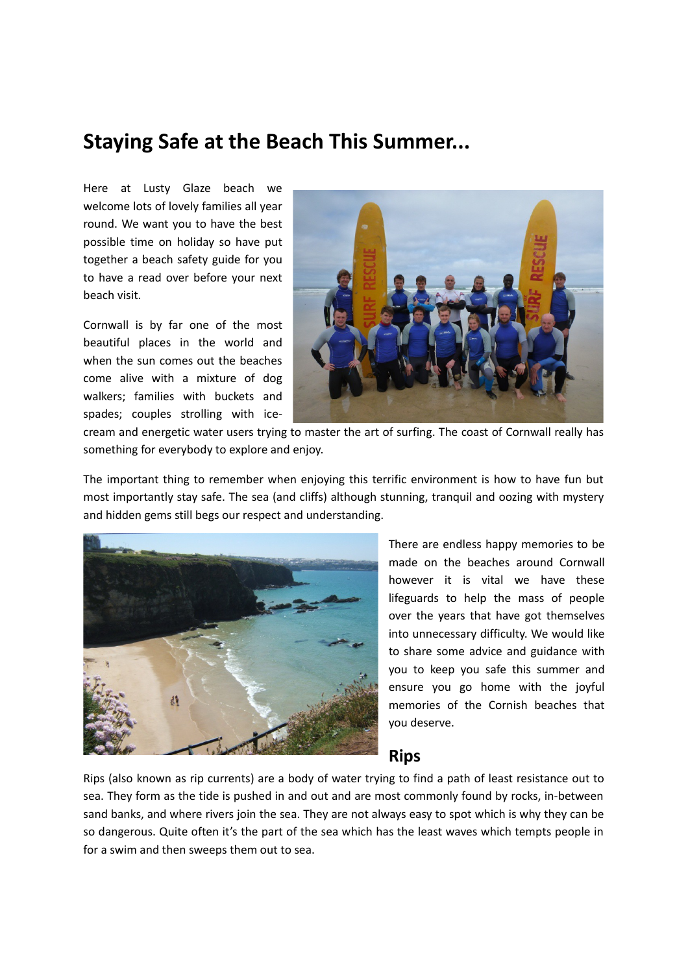## **Staying Safe at the Beach This Summer...**

Here at Lusty Glaze beach we welcome lots of lovely families all year round. We want you to have the best possible time on holiday so have put together a beach safety guide for you to have a read over before your next beach visit.

Cornwall is by far one of the most beautiful places in the world and when the sun comes out the beaches come alive with a mixture of dog walkers; families with buckets and spades; couples strolling with ice-



cream and energetic water users trying to master the art of surfing. The coast of Cornwall really has something for everybody to explore and enjoy.

The important thing to remember when enjoying this terrific environment is how to have fun but most importantly stay safe. The sea (and cliffs) although stunning, tranquil and oozing with mystery and hidden gems still begs our respect and understanding.



There are endless happy memories to be made on the beaches around Cornwall however it is vital we have these lifeguards to help the mass of people over the years that have got themselves into unnecessary difficulty. We would like to share some advice and guidance with you to keep you safe this summer and ensure you go home with the joyful memories of the Cornish beaches that you deserve.

#### **Rips**

Rips (also known as rip currents) are a body of water trying to find a path of least resistance out to sea. They form as the tide is pushed in and out and are most commonly found by rocks, in-between sand banks, and where rivers join the sea. They are not always easy to spot which is why they can be so dangerous. Quite often it's the part of the sea which has the least waves which tempts people in for a swim and then sweeps them out to sea.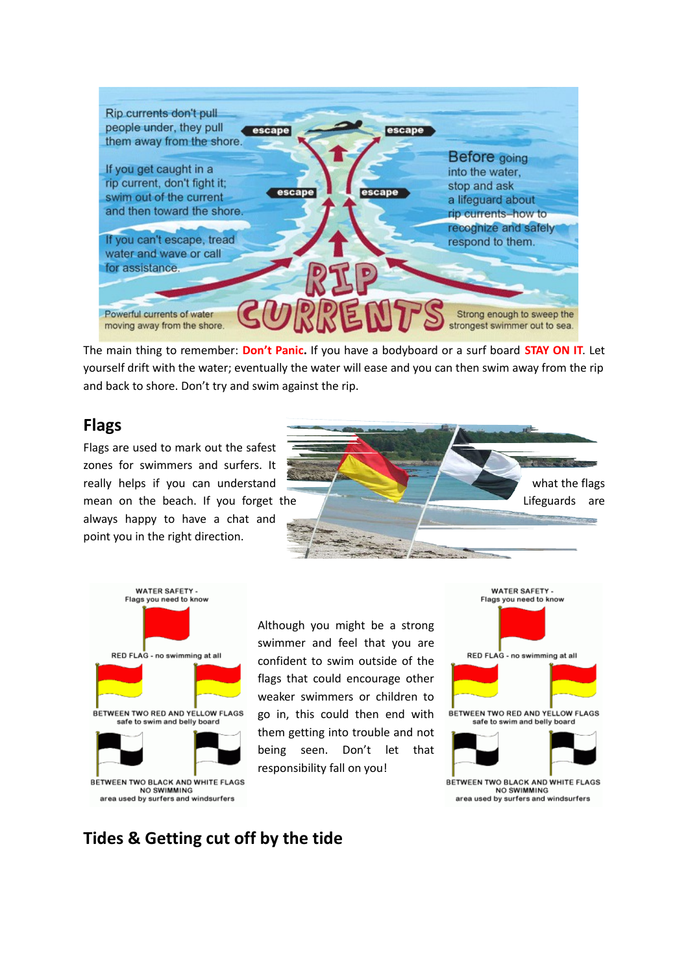

The main thing to remember: **Don't Panic.** If you have a bodyboard or a surf board **STAY ON IT**. Let yourself drift with the water; eventually the water will ease and you can then swim away from the rip and back to shore. Don't try and swim against the rip.

### **Flags**

Flags are used to mark out the safest zones for swimmers and surfers. It always happy to have a chat and point you in the right direction.





Although you might be a strong swimmer and feel that you are confident to swim outside of the flags that could encourage other weaker swimmers or children to go in, this could then end with them getting into trouble and not being seen. Don't let that responsibility fall on you!



## **Tides & Getting cut off by the tide**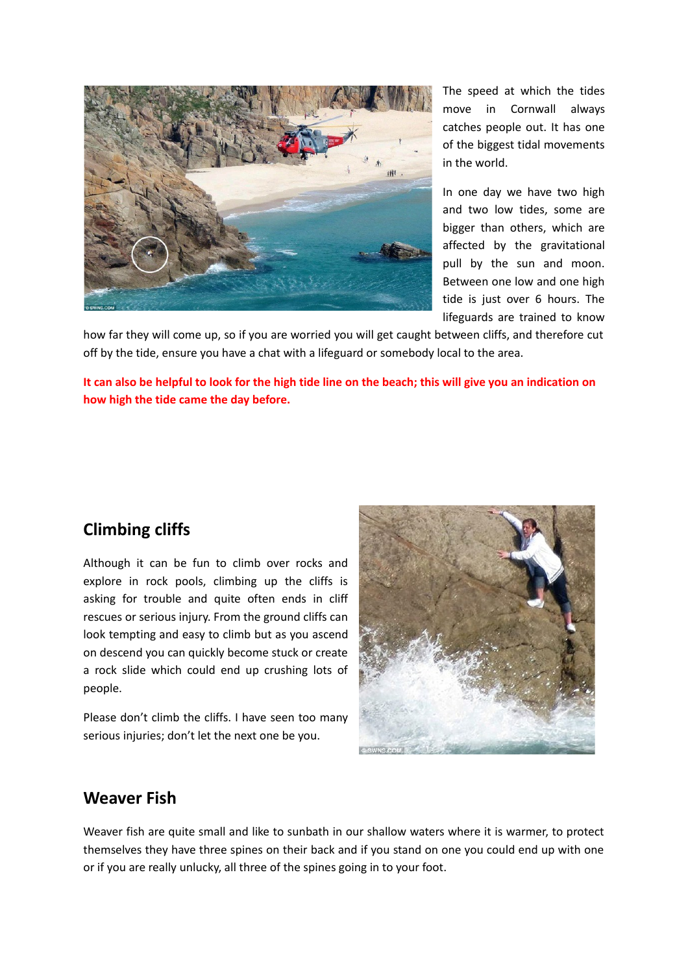

The speed at which the tides move in Cornwall always catches people out. It has one of the biggest tidal movements in the world.

In one day we have two high and two low tides, some are bigger than others, which are affected by the gravitational pull by the sun and moon. Between one low and one high tide is just over 6 hours. The lifeguards are trained to know

how far they will come up, so if you are worried you will get caught between cliffs, and therefore cut off by the tide, ensure you have a chat with a lifeguard or somebody local to the area.

**It can also be helpful to look for the high tide line on the beach; this will give you an indication on how high the tide came the day before.** 

## **Climbing cliffs**

Although it can be fun to climb over rocks and explore in rock pools, climbing up the cliffs is asking for trouble and quite often ends in cliff rescues or serious injury. From the ground cliffs can look tempting and easy to climb but as you ascend on descend you can quickly become stuck or create a rock slide which could end up crushing lots of people.

Please don't climb the cliffs. I have seen too many serious injuries; don't let the next one be you.



#### **Weaver Fish**

Weaver fish are quite small and like to sunbath in our shallow waters where it is warmer, to protect themselves they have three spines on their back and if you stand on one you could end up with one or if you are really unlucky, all three of the spines going in to your foot.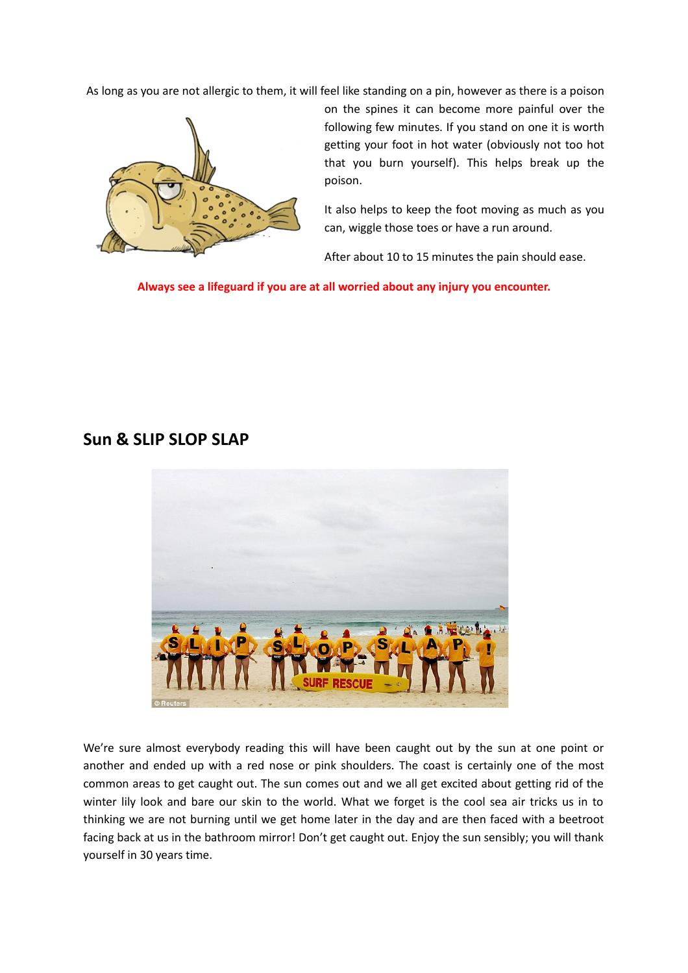As long as you are not allergic to them, it will feel like standing on a pin, however as there is a poison



on the spines it can become more painful over the following few minutes. If you stand on one it is worth getting your foot in hot water (obviously not too hot that you burn yourself). This helps break up the poison.

It also helps to keep the foot moving as much as you can, wiggle those toes or have a run around.

After about 10 to 15 minutes the pain should ease.

**Always see a lifeguard if you are at all worried about any injury you encounter.**

### **Sun & SLIP SLOP SLAP**



We're sure almost everybody reading this will have been caught out by the sun at one point or another and ended up with a red nose or pink shoulders. The coast is certainly one of the most common areas to get caught out. The sun comes out and we all get excited about getting rid of the winter lily look and bare our skin to the world. What we forget is the cool sea air tricks us in to thinking we are not burning until we get home later in the day and are then faced with a beetroot facing back at us in the bathroom mirror! Don't get caught out. Enjoy the sun sensibly; you will thank yourself in 30 years time.